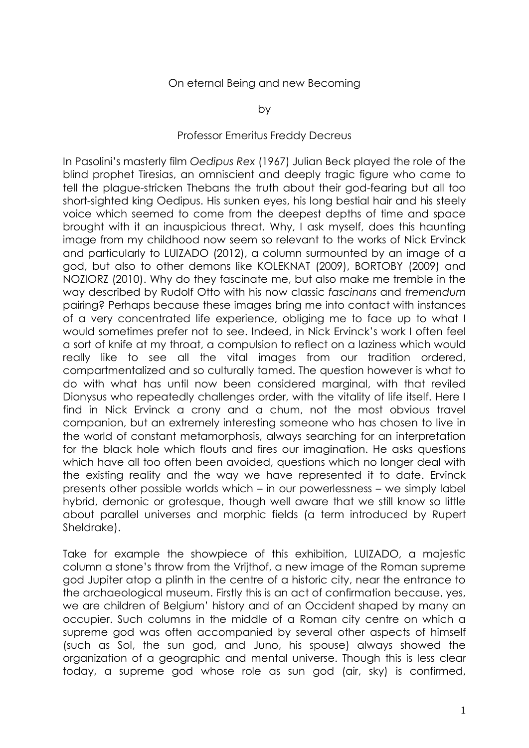## On eternal Being and new Becoming

## Professor Emeritus Freddy Decreus

In Pasolini's masterly film *Oedipus Rex* (1967) Julian Beck played the role of the blind prophet Tiresias, an omniscient and deeply tragic figure who came to tell the plague-stricken Thebans the truth about their god-fearing but all too short-sighted king Oedipus. His sunken eyes, his long bestial hair and his steely voice which seemed to come from the deepest depths of time and space brought with it an inauspicious threat. Why, I ask myself, does this haunting image from my childhood now seem so relevant to the works of Nick Ervinck and particularly to LUIZADO (2012), a column surmounted by an image of a god, but also to other demons like KOLEKNAT (2009), BORTOBY (2009) and NOZIORZ (2010). Why do they fascinate me, but also make me tremble in the way described by Rudolf Otto with his now classic *fascinans* and *tremendum* pairing? Perhaps because these images bring me into contact with instances of a very concentrated life experience, obliging me to face up to what I would sometimes prefer not to see. Indeed, in Nick Ervinck's work I often feel a sort of knife at my throat, a compulsion to reflect on a laziness which would really like to see all the vital images from our tradition ordered, compartmentalized and so culturally tamed. The question however is what to do with what has until now been considered marginal, with that reviled Dionysus who repeatedly challenges order, with the vitality of life itself. Here I find in Nick Ervinck a crony and a chum, not the most obvious travel companion, but an extremely interesting someone who has chosen to live in the world of constant metamorphosis, always searching for an interpretation for the black hole which flouts and fires our imagination. He asks questions which have all too often been avoided, questions which no longer deal with the existing reality and the way we have represented it to date. Ervinck presents other possible worlds which – in our powerlessness – we simply label hybrid, demonic or grotesque, though well aware that we still know so little about parallel universes and morphic fields (a term introduced by Rupert Sheldrake).

Take for example the showpiece of this exhibition, LUIZADO, a majestic column a stone's throw from the Vrijthof, a new image of the Roman supreme god Jupiter atop a plinth in the centre of a historic city, near the entrance to the archaeological museum. Firstly this is an act of confirmation because, yes, we are children of Belgium' history and of an Occident shaped by many an occupier. Such columns in the middle of a Roman city centre on which a supreme god was often accompanied by several other aspects of himself (such as Sol, the sun god, and Juno, his spouse) always showed the organization of a geographic and mental universe. Though this is less clear today, a supreme god whose role as sun god (air, sky) is confirmed,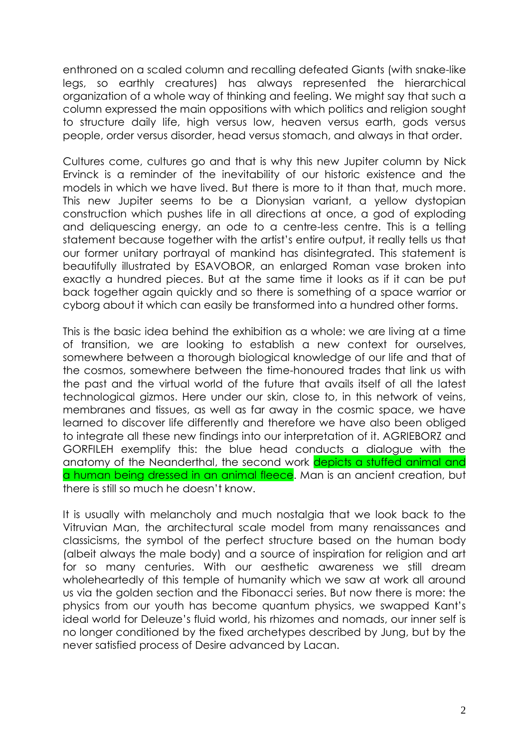enthroned on a scaled column and recalling defeated Giants (with snake-like legs, so earthly creatures) has always represented the hierarchical organization of a whole way of thinking and feeling. We might say that such a column expressed the main oppositions with which politics and religion sought to structure daily life, high versus low, heaven versus earth, gods versus people, order versus disorder, head versus stomach, and always in that order.

Cultures come, cultures go and that is why this new Jupiter column by Nick Ervinck is a reminder of the inevitability of our historic existence and the models in which we have lived. But there is more to it than that, much more. This new Jupiter seems to be a Dionysian variant, a yellow dystopian construction which pushes life in all directions at once, a god of exploding and deliquescing energy, an ode to a centre-less centre. This is a telling statement because together with the artist's entire output, it really tells us that our former unitary portrayal of mankind has disintegrated. This statement is beautifully illustrated by ESAVOBOR, an enlarged Roman vase broken into exactly a hundred pieces. But at the same time it looks as if it can be put back together again quickly and so there is something of a space warrior or cyborg about it which can easily be transformed into a hundred other forms.

This is the basic idea behind the exhibition as a whole: we are living at a time of transition, we are looking to establish a new context for ourselves, somewhere between a thorough biological knowledge of our life and that of the cosmos, somewhere between the time-honoured trades that link us with the past and the virtual world of the future that avails itself of all the latest technological gizmos. Here under our skin, close to, in this network of veins, membranes and tissues, as well as far away in the cosmic space, we have learned to discover life differently and therefore we have also been obliged to integrate all these new findings into our interpretation of it. AGRIEBORZ and GORFILEH exemplify this: the blue head conducts a dialogue with the anatomy of the Neanderthal, the second work depicts a stuffed animal and a human being dressed in an animal fleece. Man is an ancient creation, but there is still so much he doesn't know.

It is usually with melancholy and much nostalgia that we look back to the Vitruvian Man, the architectural scale model from many renaissances and classicisms, the symbol of the perfect structure based on the human body (albeit always the male body) and a source of inspiration for religion and art for so many centuries. With our aesthetic awareness we still dream wholeheartedly of this temple of humanity which we saw at work all around us via the golden section and the Fibonacci series. But now there is more: the physics from our youth has become quantum physics, we swapped Kant's ideal world for Deleuze's fluid world, his rhizomes and nomads, our inner self is no longer conditioned by the fixed archetypes described by Jung, but by the never satisfied process of Desire advanced by Lacan.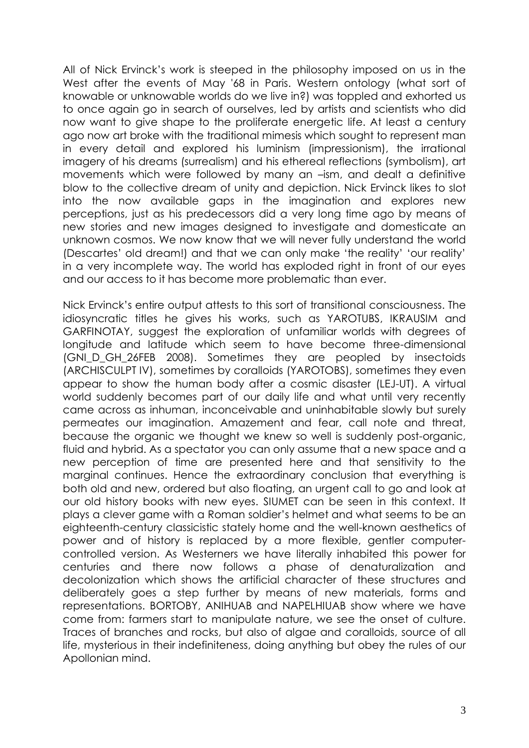All of Nick Ervinck's work is steeped in the philosophy imposed on us in the West after the events of May '68 in Paris. Western ontology (what sort of knowable or unknowable worlds do we live in?) was toppled and exhorted us to once again go in search of ourselves, led by artists and scientists who did now want to give shape to the proliferate energetic life. At least a century ago now art broke with the traditional mimesis which sought to represent man in every detail and explored his luminism (impressionism), the irrational imagery of his dreams (surrealism) and his ethereal reflections (symbolism), art movements which were followed by many an –ism, and dealt a definitive blow to the collective dream of unity and depiction. Nick Ervinck likes to slot into the now available gaps in the imagination and explores new perceptions, just as his predecessors did a very long time ago by means of new stories and new images designed to investigate and domesticate an unknown cosmos. We now know that we will never fully understand the world (Descartes' old dream!) and that we can only make 'the reality' 'our reality' in a very incomplete way. The world has exploded right in front of our eyes and our access to it has become more problematic than ever.

Nick Ervinck's entire output attests to this sort of transitional consciousness. The idiosyncratic titles he gives his works, such as YAROTUBS, IKRAUSIM and GARFINOTAY, suggest the exploration of unfamiliar worlds with degrees of longitude and latitude which seem to have become three-dimensional (GNI D GH 26FEB 2008). Sometimes they are peopled by insectoids (ARCHISCULPT IV), sometimes by coralloids (YAROTOBS), sometimes they even appear to show the human body after a cosmic disaster (LEJ-UT). A virtual world suddenly becomes part of our daily life and what until very recently came across as inhuman, inconceivable and uninhabitable slowly but surely permeates our imagination. Amazement and fear, call note and threat, because the organic we thought we knew so well is suddenly post-organic, fluid and hybrid. As a spectator you can only assume that a new space and a new perception of time are presented here and that sensitivity to the marginal continues. Hence the extraordinary conclusion that everything is both old and new, ordered but also floating, an urgent call to go and look at our old history books with new eyes. SIUMET can be seen in this context. It plays a clever game with a Roman soldier's helmet and what seems to be an eighteenth-century classicistic stately home and the well-known aesthetics of power and of history is replaced by a more flexible, gentler computercontrolled version. As Westerners we have literally inhabited this power for centuries and there now follows a phase of denaturalization and decolonization which shows the artificial character of these structures and deliberately goes a step further by means of new materials, forms and representations. BORTOBY, ANIHUAB and NAPELHIUAB show where we have come from: farmers start to manipulate nature, we see the onset of culture. Traces of branches and rocks, but also of algae and coralloids, source of all life, mysterious in their indefiniteness, doing anything but obey the rules of our Apollonian mind.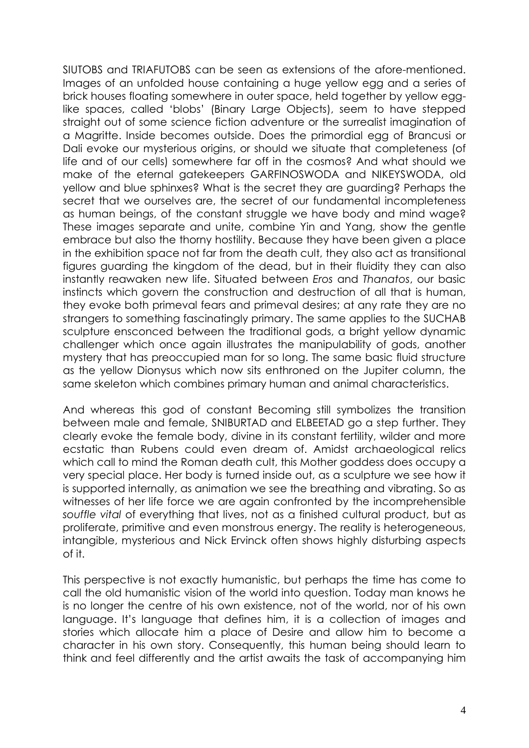SIUTOBS and TRIAFUTOBS can be seen as extensions of the afore-mentioned. Images of an unfolded house containing a huge yellow egg and a series of brick houses floating somewhere in outer space, held together by yellow egglike spaces, called 'blobs' (Binary Large Objects), seem to have stepped straight out of some science fiction adventure or the surrealist imagination of a Magritte. Inside becomes outside. Does the primordial egg of Brancusi or Dali evoke our mysterious origins, or should we situate that completeness (of life and of our cells) somewhere far off in the cosmos? And what should we make of the eternal gatekeepers GARFINOSWODA and NIKEYSWODA, old yellow and blue sphinxes? What is the secret they are guarding? Perhaps the secret that we ourselves are, the secret of our fundamental incompleteness as human beings, of the constant struggle we have body and mind wage? These images separate and unite, combine Yin and Yang, show the gentle embrace but also the thorny hostility. Because they have been given a place in the exhibition space not far from the death cult, they also act as transitional figures guarding the kingdom of the dead, but in their fluidity they can also instantly reawaken new life. Situated between *Eros* and *Thanatos*, our basic instincts which govern the construction and destruction of all that is human, they evoke both primeval fears and primeval desires; at any rate they are no strangers to something fascinatingly primary. The same applies to the SUCHAB sculpture ensconced between the traditional gods, a bright yellow dynamic challenger which once again illustrates the manipulability of gods, another mystery that has preoccupied man for so long. The same basic fluid structure as the yellow Dionysus which now sits enthroned on the Jupiter column, the same skeleton which combines primary human and animal characteristics.

And whereas this god of constant Becoming still symbolizes the transition between male and female, SNIBURTAD and ELBEETAD go a step further. They clearly evoke the female body, divine in its constant fertility, wilder and more ecstatic than Rubens could even dream of. Amidst archaeological relics which call to mind the Roman death cult, this Mother goddess does occupy a very special place. Her body is turned inside out, as a sculpture we see how it is supported internally, as animation we see the breathing and vibrating. So as witnesses of her life force we are again confronted by the incomprehensible *souffle vital* of everything that lives, not as a finished cultural product, but as proliferate, primitive and even monstrous energy. The reality is heterogeneous, intangible, mysterious and Nick Ervinck often shows highly disturbing aspects of it.

This perspective is not exactly humanistic, but perhaps the time has come to call the old humanistic vision of the world into question. Today man knows he is no longer the centre of his own existence, not of the world, nor of his own language. It's language that defines him, it is a collection of images and stories which allocate him a place of Desire and allow him to become a character in his own story. Consequently, this human being should learn to think and feel differently and the artist awaits the task of accompanying him